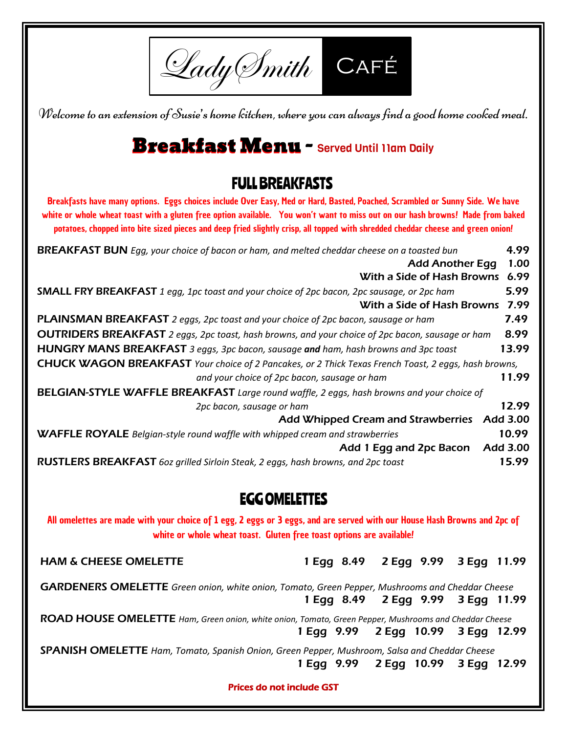Lady Imith CAFÉ

Welcome to an extension of Susie's home kitchen, where you can always find a good home cooked meal.

## Breakfast Menu - Served Until 11am Daily

## FULL BREAKFASTS

Breakfasts have many options. Eggs choices include Over Easy, Med or Hard, Basted, Poached, Scrambled or Sunny Side. We have white or whole wheat toast with a gluten free option available. You won't want to miss out on our hash browns! Made from baked potatoes, chopped into bite sized pieces and deep fried slightly crisp, all topped with shredded cheddar cheese and green onion!

| <b>BREAKFAST BUN</b> Egg, your choice of bacon or ham, and melted cheddar cheese on a toasted bun                        |          |  |  |  |
|--------------------------------------------------------------------------------------------------------------------------|----------|--|--|--|
| <b>Add Another Egg</b>                                                                                                   |          |  |  |  |
| With a Side of Hash Browns                                                                                               | 6.99     |  |  |  |
| <b>SMALL FRY BREAKFAST</b> 1 egg, 1pc toast and your choice of 2pc bacon, 2pc sausage, or 2pc ham                        | 5.99     |  |  |  |
| With a Side of Hash Browns                                                                                               | 7.99     |  |  |  |
| PLAINSMAN BREAKFAST 2 eggs, 2pc toast and your choice of 2pc bacon, sausage or ham                                       | 7.49     |  |  |  |
| <b>OUTRIDERS BREAKFAST</b> 2 eggs, 2pc toast, hash browns, and your choice of 2pc bacon, sausage or ham                  | 8.99     |  |  |  |
| <b>HUNGRY MANS BREAKFAST</b> 3 eggs, 3pc bacon, sausage and ham, hash browns and 3pc toast                               | 13.99    |  |  |  |
| <b>CHUCK WAGON BREAKFAST</b> Your choice of 2 Pancakes, or 2 Thick Texas French Toast, 2 eggs, hash browns,              |          |  |  |  |
| and your choice of 2pc bacon, sausage or ham                                                                             | 11.99    |  |  |  |
| BELGIAN-STYLE WAFFLE BREAKFAST Large round waffle, 2 eggs, hash browns and your choice of                                |          |  |  |  |
| 2pc bacon, sausage or ham                                                                                                | 12.99    |  |  |  |
| <b>Add Whipped Cream and Strawberries</b>                                                                                | Add 3.00 |  |  |  |
| <b>WAFFLE ROYALE</b> Belgian-style round waffle with whipped cream and strawberries                                      | 10.99    |  |  |  |
| Add 1 Egg and 2pc Bacon                                                                                                  | Add 3.00 |  |  |  |
| RUSTLERS BREAKFAST 6oz grilled Sirloin Steak, 2 eggs, hash browns, and 2pc toast                                         | 15.99    |  |  |  |
|                                                                                                                          |          |  |  |  |
| <b>EGG OMELETTES</b>                                                                                                     |          |  |  |  |
| All omelettes are made with your choice of 1 egg, 2 eggs or 3 eggs, and are served with our House Hash Browns and 2pc of |          |  |  |  |

white or whole wheat toast. Gluten free toast options are available!

HAM & CHEESE OMELETTE 1 Egg 8.49 2 Egg 9.99 3 Egg 11.99

GARDENERS OMELETTE *Green onion, white onion, Tomato, Green Pepper, Mushrooms and Cheddar Cheese* 1 Egg 8.49 2 Egg 9.99 3 Egg 11.99

ROAD HOUSE OMELETTE *Ham*, *Green onion, white onion, Tomato, Green Pepper, Mushrooms and Cheddar Cheese* 1 Egg 9.99 2 Egg 10.99 3 Egg 12.99

SPANISH OMELETTE *Ham, Tomato, Spanish Onion, Green Pepper, Mushroom, Salsa and Cheddar Cheese* 1 Egg 9.99 2 Egg 10.99 3 Egg 12.99

Prices do not include GST